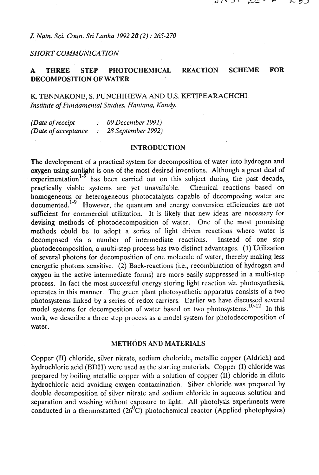## *J. Natn. Sci. Colin. Sri Lanka 1992 20 (2)* : *265-270*

### *SHORT COMMUNICATION*

# **A THREE STEP PHOTOCHEMICAL REACTION SCHEME FOR DECOMPOSITION OF WATER**

K. TENNAKONE, S. PUNCHIHEWA AND U.S. KETIPEARACHCHI *Institute of Fundamental Studies, Hantana, Kandy.* 

| (Date of receipt    | 09 December 1991)  |
|---------------------|--------------------|
| (Date of acceptance | 28 September 1992) |

#### **INTRODUCTION**

The development of a practical system for decomposition of water into hydrogen and oxygen using sunlight is one of the most desired inventions. Although a great deal of experimentation<sup>1.5</sup> has been carried out on this subject during the past decade, practically viable systems are yet unavailable. Chemical reactions based on homogeneous or heterogeneous photocatalysts capable of decomposing water are documented.<sup>1-9</sup> However, the quantum and energy conversion efficiencies are not sufficient for commercial utilization. It is likely that new ideas are necessary for devising. methods of photodecomposition of water. One of the most promising methods could be to adopt a series of light driven reactions where water is decomposed via a number of intermediate reactions. Instead of one step photodecompositiod, a multi-step process has two distinct advantages. (1) Utilization of several photons for decomposition of one molecule of water, thereby making less energetic photons sensitive. (2) Back-reactions (i.e., recombination of hydrogen and oxygen in the active intermediate forms) are more easily suppressed in a multi-step process. In fact the most successful energy storing light reaction **viz.** photosynthesis, operates in this manner. The green plant photosynthetic apparatus consists of a two photosystems linked by a series of redox carriers. Earlier we have discussed several model systems for decomposition of water based on two photosystems.<sup>10-12</sup> In this work, we describe a three step process as a model system for photodecomposition of water.

### **METHODS AND MATERIALS**

Copper (11) chloride, silver nitrate, sodium choloride, metallic copper (Aldrich) and hydrochloric acid (BDH) were used as the starting materials. Copper (I) chloride was prepared by boiling metallic copper with a solution of copper **(11)** chloride in dilute hydrochloric acid avoiding oxygen contamination. Silver chloride was prepared by double decomposition of silver nitrate and sodium chloride in aqueous solution and separation and washing without exposure to light. All photolysis experiments were conducted in a thermostatted  $(26^0C)$  photochemical reactor (Applied photophysics)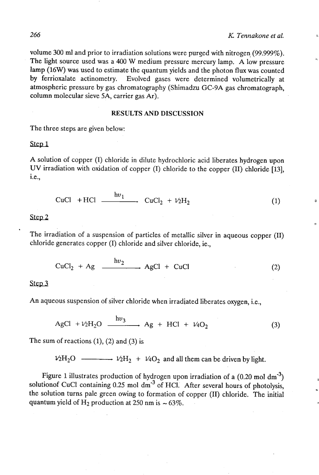volume 300 **ml** and prior to irradiation solutions were purged with nitrogen (99.999%). The light source used was a 400 W medium pressure mercury lamp. A low pressure lamp (16W) was used to estimate the quantum yields and the photon flux was counted by ferrioxalate actinometry. Evolved gases were determined volumetrically at atmospheric pressure by gas chromatography (Shimadzu GC-9A gas chromatograph, column molecular sieve 5A, carrier gas **Ar).** 

## **RESULTS AND DISCUSSION**

The three steps are given below:

Step 1

A solution of copper (I) chloride in dilute hydrochloric acid liberates hydrogen upon UV irradiation with oxidation of copper (I) chloride to the copper (11) chloride **1131,**  i.e.,

$$
CuCl + HCl \xrightarrow{hv_1} CuCl_2 + V_2H_2 \tag{1}
$$

Step 2

The irradiation of a suspension of particles of metallic silver in aqueous copper (11) chloride generates copper (I) chloride and silver chloride, ie.,

$$
CuCl2 + Ag \xrightarrow{hv2} AgCl + CuCl
$$
 (2)

#### Step<sub>3</sub>

An aqueous suspension of silver chloride when irradiated liberates oxygen, i.e.,

$$
AgCl + \nu_2H_2O \xrightarrow{hv_3} Ag + HCl + \nu_4O_2 \tag{3}
$$

The sum of reactions  $(1)$ ,  $(2)$  and  $(3)$  is

 $V_2H_2O$   $\longrightarrow$   $V_2H_2$  +  $V_4O_2$  and all them can be driven by light.

Figure 1 illustrates production of hydrogen upon irradiation of a (0.20 mol dm<sup>-3</sup>) solutionof CuCl containing  $0.25$  mol dm<sup>-3</sup> of HCl. After several hours of photolysis, the solution turns pale green owing to formation of copper **(11)** chloride. The initial quantum yield of H<sub>2</sub> production at 250 nm is  $\sim 63\%$ .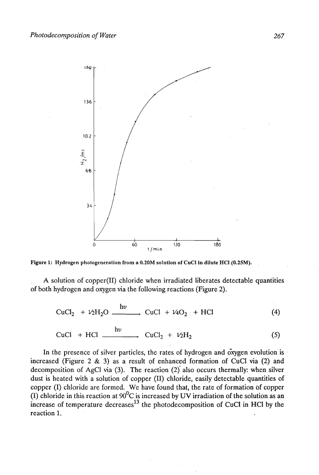

**Figure 1: Hydrogen phologeneralion from a O.2OM solution of CuCI in dilute HCI (0.25M).** 

A solution of copper(I1) chloride when irradiated liberates detectable quantities of both hydrogen and oxygen via the following reactions (Figure 2).

$$
CuCl2 + \frac{1}{2}H2O \xrightarrow{hv} CuCl + \frac{1}{4}O2 + HCl
$$
 (4)

$$
CuCl + HCl \xrightarrow{hv} CuCl_2 + \nu_2H_2 \tag{5}
$$

In the presence of silver particles, the rates of hydrogen and  $\alpha$ ygen evolution is increased (Figure 2 & 3) as a result of enhanced formation of CuCl via (2) and decomposition of AgCl via (3). The reaction (2)' also occurs thermally: when silver dust is heated with a solution of copper (11) chloride, easily detectable quantities of copper (I) chloride are formed. We have found that, the rate of formation bf copper (I) chloride in this reaction at  $90^0$ C is increased by UV irradiation of the solution as an increase of temperature decreases<sup>13</sup> the photodecomposition of CuCl in HCl by the reaction 1.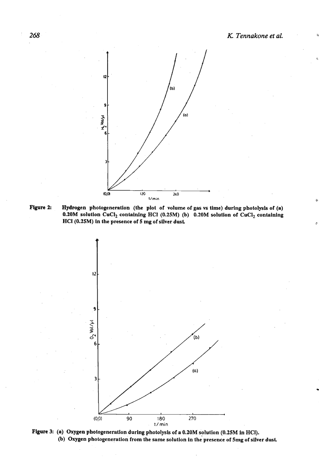

**Flgure 2:** Hydrogen photogeneration (the plot ot volume of gas vs time) during phololysis of **(a)**  0.20M solution  $CuCl<sub>2</sub>$  containing HCl (0.25M) (b) 0.20M solution of  $CuCl<sub>2</sub>$  containing HCI (0.25M) in the presence of **5 mg** of silver dust



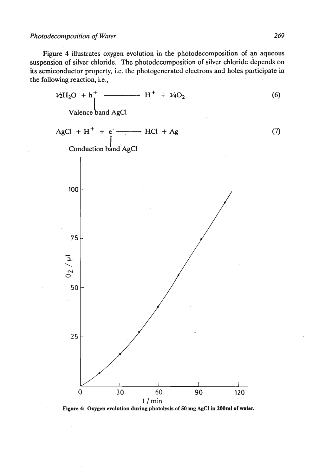Figure 4 illustrates oxygen evolution in the photodecomposition of an aqueous suspension of silver chloride. The photodecomposition of silver chloride depends on its semiconductor property, i.e. the photogenerated electrons and holes participate in the following reaction, i.e.,



**Figure 4: Oxygen evolution during photolysis of50 mg AgCl in 200ml olwater.**